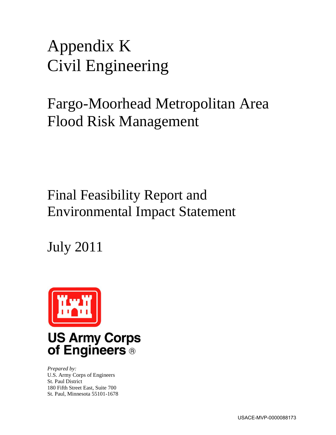# Appendix K Civil Engineering

# Fargo-Moorhead Metropolitan Area Flood Risk Management

# Final Feasibility Report and Environmental Impact Statement

July 2011



*Prepared by:*  U.S. Army Corps of Engineers St. Paul District 180 Fifth Street East, Suite 700 St. Paul, Minnesota 55101-1678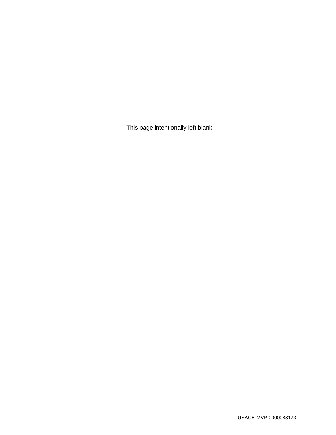This page intentionally left blank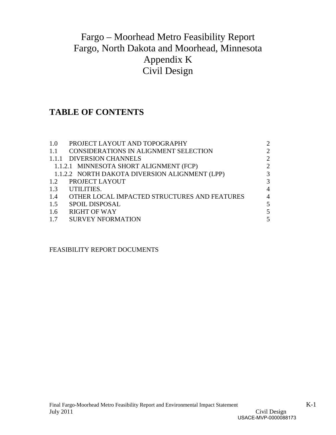# Fargo – Moorhead Metro Feasibility Report Fargo, North Dakota and Moorhead, Minnesota Appendix K Civil Design

# **TABLE OF CONTENTS**

| $\mathcal{D}_{\mathcal{L}}$ |
|-----------------------------|
| 2                           |
| 2                           |
| 2                           |
| 3                           |
| 3                           |
| $\overline{A}$              |
| $\overline{4}$              |
| 5                           |
| 5                           |
| 5                           |
|                             |

FEASIBILITY REPORT DOCUMENTS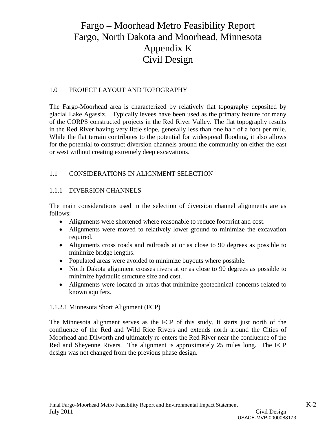# Fargo – Moorhead Metro Feasibility Report Fargo, North Dakota and Moorhead, Minnesota Appendix K Civil Design

#### 1.0 PROJECT LAYOUT AND TOPOGRAPHY

The Fargo-Moorhead area is characterized by relatively flat topography deposited by glacial Lake Agassiz. Typically levees have been used as the primary feature for many of the CORPS constructed projects in the Red River Valley. The flat topography results in the Red River having very little slope, generally less than one half of a foot per mile. While the flat terrain contributes to the potential for widespread flooding, it also allows for the potential to construct diversion channels around the community on either the east or west without creating extremely deep excavations.

## 1.1 CONSIDERATIONS IN ALIGNMENT SELECTION

## 1.1.1 DIVERSION CHANNELS

The main considerations used in the selection of diversion channel alignments are as follows:

- Alignments were shortened where reasonable to reduce footprint and cost.
- Alignments were moved to relatively lower ground to minimize the excavation required.
- Alignments cross roads and railroads at or as close to 90 degrees as possible to minimize bridge lengths.
- Populated areas were avoided to minimize buyouts where possible.
- North Dakota alignment crosses rivers at or as close to 90 degrees as possible to minimize hydraulic structure size and cost.
- Alignments were located in areas that minimize geotechnical concerns related to known aquifers.

#### 1.1.2.1 Minnesota Short Alignment (FCP)

The Minnesota alignment serves as the FCP of this study. It starts just north of the confluence of the Red and Wild Rice Rivers and extends north around the Cities of Moorhead and Dilworth and ultimately re-enters the Red River near the confluence of the Red and Sheyenne Rivers. The alignment is approximately 25 miles long. The FCP design was not changed from the previous phase design.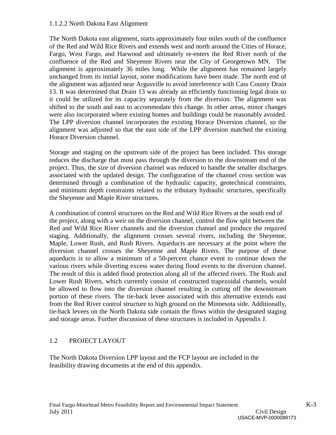#### 1.1.2.2 North Dakota East Alignment

The North Dakota east alignment, starts approximately four miles south of the confluence of the Red and Wild Rice Rivers and extends west and north around the Cities of Horace, Fargo, West Fargo, and Harwood and ultimately re-enters the Red River north of the confluence of the Red and Sheyenne Rivers near the City of Georgetown MN. The alignment is approximately 36 miles long. While the alignment has remained largely unchanged from its initial layout, some modifications have been made. The north end of the alignment was adjusted near Argusville to avoid interference with Cass County Drain 13. It was determined that Drain 13 was already an efficiently functioning legal drain so it could be utilized for its capacity separately from the diversion. The alignment was shifted to the south and east to accommodate this change. In other areas, minor changes were also incorporated where existing homes and buildings could be reasonably avoided. The LPP diversion channel incorporates the existing Horace Diversion channel, so the alignment was adjusted so that the east side of the LPP diversion matched the existing Horace Diversion channel.

Storage and staging on the upstream side of the project has been included. This storage reduces the discharge that must pass through the diversion to the downstream end of the project. Thus, the size of diversion channel was reduced to handle the smaller discharges associated with the updated design. The configuration of the channel cross section was determined through a combination of the hydraulic capacity, geotechnical constraints, and minimum depth constraints related to the tributary hydraulic structures, specifically the Sheyenne and Maple River structures.

A combination of control structures on the Red and Wild Rice Rivers at the south end of the project, along with a weir on the diversion channel, control the flow split between the Red and Wild Rice River channels and the diversion channel and produce the required staging. Additionally, the alignment crosses several rivers, including the Sheyenne, Maple, Lower Rush, and Rush Rivers. Aqueducts are necessary at the point where the diversion channel crosses the Sheyenne and Maple Rivers. The purpose of these aqueducts is to allow a minimum of a 50-percent chance event to continue down the various rivers while diverting excess water during flood events to the diversion channel. The result of this is added flood protection along all of the affected rivers. The Rush and Lower Rush Rivers, which currently consist of constructed trapezoidal channels, would be allowed to flow into the diversion channel resulting in cutting off the downstream portion of these rivers. The tie-back levee associated with this alternative extends east from the Red River control structure to high ground on the Minnesota side. Additionally, tie-back levees on the North Dakota side contain the flows within the designated staging and storage areas. Further discussion of these structures is included in Appendix J.

# 1.2 PROJECT LAYOUT

The North Dakota Diversion LPP layout and the FCP layout are included in the feasibility drawing documents at the end of this appendix.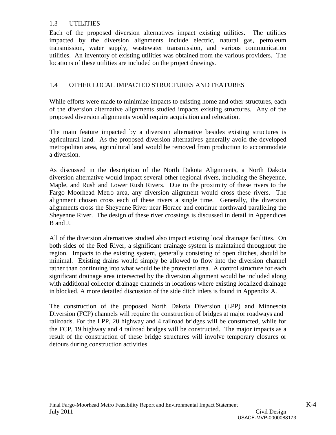## 1.3 UTILITIES

Each of the proposed diversion alternatives impact existing utilities. The utilities impacted by the diversion alignments include electric, natural gas, petroleum transmission, water supply, wastewater transmission, and various communication utilities. An inventory of existing utilities was obtained from the various providers. The locations of these utilities are included on the project drawings.

## 1.4 OTHER LOCAL IMPACTED STRUCTURES AND FEATURES

While efforts were made to minimize impacts to existing home and other structures, each of the diversion alternative alignments studied impacts existing structures. Any of the proposed diversion alignments would require acquisition and relocation.

The main feature impacted by a diversion alternative besides existing structures is agricultural land. As the proposed diversion alternatives generally avoid the developed metropolitan area, agricultural land would be removed from production to accommodate a diversion.

As discussed in the description of the North Dakota Alignments, a North Dakota diversion alternative would impact several other regional rivers, including the Sheyenne, Maple, and Rush and Lower Rush Rivers. Due to the proximity of these rivers to the Fargo Moorhead Metro area, any diversion alignment would cross these rivers. The alignment chosen cross each of these rivers a single time. Generally, the diversion alignments cross the Sheyenne River near Horace and continue northward paralleling the Sheyenne River. The design of these river crossings is discussed in detail in Appendices B and J.

All of the diversion alternatives studied also impact existing local drainage facilities. On both sides of the Red River, a significant drainage system is maintained throughout the region. Impacts to the existing system, generally consisting of open ditches, should be minimal. Existing drains would simply be allowed to flow into the diversion channel rather than continuing into what would be the protected area. A control structure for each significant drainage area intersected by the diversion alignment would be included along with additional collector drainage channels in locations where existing localized drainage in blocked. A more detailed discussion of the side ditch inlets is found in Appendix A.

The construction of the proposed North Dakota Diversion (LPP) and Minnesota Diversion (FCP) channels will require the construction of bridges at major roadways and railroads. For the LPP, 20 highway and 4 railroad bridges will be constructed, while for the FCP, 19 highway and 4 railroad bridges will be constructed. The major impacts as a result of the construction of these bridge structures will involve temporary closures or detours during construction activities.